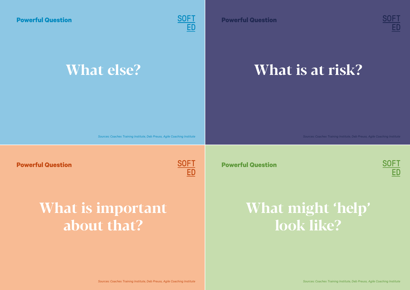**Powerful Question**



#### **What else?**

**Powerful Question**



#### **What is at risk?**

*Sources: Coaches Training Institute, Deb Preuss, Agile Coaching Institute*

**Powerful Question**



**Powerful Question**



## **What is important about that?**

**What might 'help' look like?**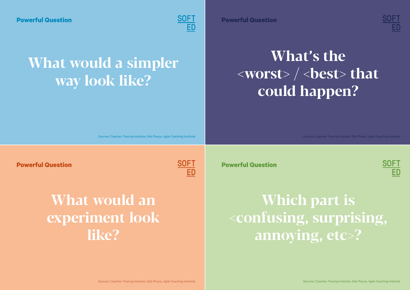

## **What would a simpler way look like?**



# **What's the**  $\langle$  worst $>$  /  $\langle$  best $>$  that **could happen?**

*Sources: Coaches Training Institute, Deb Preuss, Agile Coaching Institute*

**Powerful Question**



#### **What would an experiment look like?**

**Powerful Question**



# **Which part is <confusing, surprising, annoying, etc>?**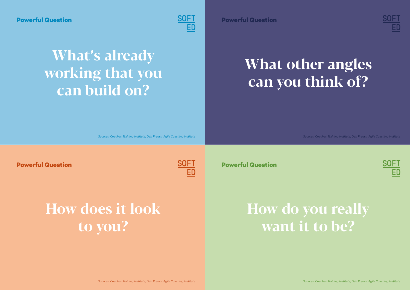

## **What's already working that you can build on?**

**Powerful Question**



# **What other angles can you think of?**

*Sources: Coaches Training Institute, Deb Preuss, Agile Coaching Institute*

**Powerful Question**



**Powerful Question**

SOFT

# **How does it look to you?**

## **How do you really want it to be?**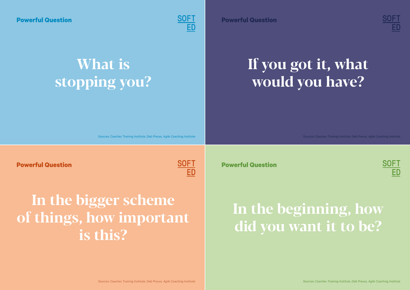

# **What is stopping you?**

**Powerful Question**



# **If you got it, what would you have?**

*Sources: Coaches Training Institute, Deb Preuss, Agile Coaching Institute*

**Powerful Question**



# **In the bigger scheme of things, how important is this?**

**Powerful Question**



# **In the beginning, how did you want it to be?**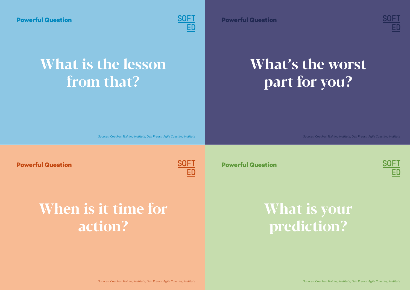

# **What is the lesson from that?**

**Powerful Question**



# **What's the worst part for you?**

*Sources: Coaches Training Institute, Deb Preuss, Agile Coaching Institute*

**Powerful Question**



**Powerful Question**



# **When is it time for action?**

#### **What is your prediction?**